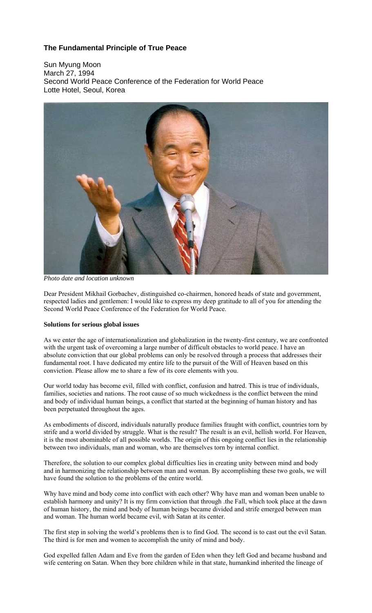# **The Fundamental Principle of True Peace**

Sun Myung Moon March 27, 1994 Second World Peace Conference of the Federation for World Peace Lotte Hotel, Seoul, Korea



*Photo date and location unknown*

Dear President Mikhail Gorbachev, distinguished co-chairmen, honored heads of state and government, respected ladies and gentlemen: I would like to express my deep gratitude to all of you for attending the Second World Peace Conference of the Federation for World Peace.

## **Solutions for serious global issues**

As we enter the age of internationalization and globalization in the twenty-first century, we are confronted with the urgent task of overcoming a large number of difficult obstacles to world peace. I have an absolute conviction that our global problems can only be resolved through a process that addresses their fundamental root. I have dedicated my entire life to the pursuit of the Will of Heaven based on this conviction. Please allow me to share a few of its core elements with you.

Our world today has become evil, filled with conflict, confusion and hatred. This is true of individuals, families, societies and nations. The root cause of so much wickedness is the conflict between the mind and body of individual human beings, a conflict that started at the beginning of human history and has been perpetuated throughout the ages.

As embodiments of discord, individuals naturally produce families fraught with conflict, countries torn by strife and a world divided by struggle. What is the result? The result is an evil, hellish world. For Heaven, it is the most abominable of all possible worlds. The origin of this ongoing conflict lies in the relationship between two individuals, man and woman, who are themselves torn by internal conflict.

Therefore, the solution to our complex global difficulties lies in creating unity between mind and body and in harmonizing the relationship between man and woman. By accomplishing these two goals, we will have found the solution to the problems of the entire world.

Why have mind and body come into conflict with each other? Why have man and woman been unable to establish harmony and unity? It is my firm conviction that through .the Fall, which took place at the dawn of human history, the mind and body of human beings became divided and strife emerged between man and woman. The human world became evil, with Satan at its center.

The first step in solving the world's problems then is to find God. The second is to cast out the evil Satan. The third is for men and women to accomplish the unity of mind and body.

God expelled fallen Adam and Eve from the garden of Eden when they left God and became husband and wife centering on Satan. When they bore children while in that state, humankind inherited the lineage of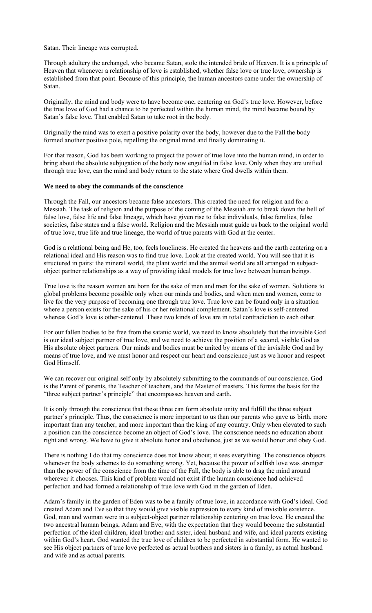Satan. Their lineage was corrupted.

Through adultery the archangel, who became Satan, stole the intended bride of Heaven. It is a principle of Heaven that whenever a relationship of love is established, whether false love or true love, ownership is established from that point. Because of this principle, the human ancestors came under the ownership of Satan.

Originally, the mind and body were to have become one, centering on God's true love. However, before the true love of God had a chance to be perfected within the human mind, the mind became bound by Satan's false love. That enabled Satan to take root in the body.

Originally the mind was to exert a positive polarity over the body, however due to the Fall the body formed another positive pole, repelling the original mind and finally dominating it.

For that reason, God has been working to project the power of true love into the human mind, in order to bring about the absolute subjugation of the body now engulfed in false love. Only when they are unified through true love, can the mind and body return to the state where God dwells within them.

## **We need to obey the commands of the conscience**

Through the Fall, our ancestors became false ancestors. This created the need for religion and for a Messiah. The task of religion and the purpose of the coming of the Messiah are to break down the hell of false love, false life and false lineage, which have given rise to false individuals, false families, false societies, false states and a false world. Religion and the Messiah must guide us back to the original world of true love, true life and true lineage, the world of true parents with God at the center.

God is a relational being and He, too, feels loneliness. He created the heavens and the earth centering on a relational ideal and His reason was to find true love. Look at the created world. You will see that it is structured in pairs: the mineral world, the plant world and the animal world are all arranged in subjectobject partner relationships as a way of providing ideal models for true love between human beings.

True love is the reason women are born for the sake of men and men for the sake of women. Solutions to global problems become possible only when our minds and bodies, and when men and women, come to live for the very purpose of becoming one through true love. True love can be found only in a situation where a person exists for the sake of his or her relational complement. Satan's love is self-centered whereas God's love is other-centered. These two kinds of love are in total contradiction to each other.

For our fallen bodies to be free from the satanic world, we need to know absolutely that the invisible God is our ideal subject partner of true love, and we need to achieve the position of a second, visible God as His absolute object partners. Our minds and bodies must be united by means of the invisible God and by means of true love, and we must honor and respect our heart and conscience just as we honor and respect God Himself.

We can recover our original self only by absolutely submitting to the commands of our conscience. God is the Parent of parents, the Teacher of teachers, and the Master of masters. This forms the basis for the "three subject partner's principle" that encompasses heaven and earth.

It is only through the conscience that these three can form absolute unity and fulfill the three subject partner's principle. Thus, the conscience is more important to us than our parents who gave us birth, more important than any teacher, and more important than the king of any country. Only when elevated to such a position can the conscience become an object of God's love. The conscience needs no education about right and wrong. We have to give it absolute honor and obedience, just as we would honor and obey God.

There is nothing I do that my conscience does not know about; it sees everything. The conscience objects whenever the body schemes to do something wrong. Yet, because the power of selfish love was stronger than the power of the conscience from the time of the Fall, the body is able to drag the mind around wherever it chooses. This kind of problem would not exist if the human conscience had achieved perfection and had formed a relationship of true love with God in the garden of Eden.

Adam's family in the garden of Eden was to be a family of true love, in accordance with God's ideal. God created Adam and Eve so that they would give visible expression to every kind of invisible existence. God, man and woman were in a subject-object partner relationship centering on true love. He created the two ancestral human beings, Adam and Eve, with the expectation that they would become the substantial perfection of the ideal children, ideal brother and sister, ideal husband and wife, and ideal parents existing within God's heart. God wanted the true love of children to be perfected in substantial form. He wanted to see His object partners of true love perfected as actual brothers and sisters in a family, as actual husband and wife and as actual parents.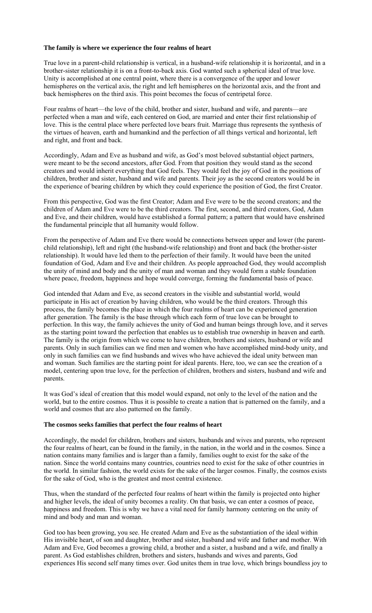### **The family is where we experience the four realms of heart**

True love in a parent-child relationship is vertical, in a husband-wife relationship it is horizontal, and in a brother-sister relationship it is on a front-to-back axis. God wanted such a spherical ideal of true love. Unity is accomplished at one central point, where there is a convergence of the upper and lower hemispheres on the vertical axis, the right and left hemispheres on the horizontal axis, and the front and back hemispheres on the third axis. This point becomes the focus of centripetal force.

Four realms of heart—the love of the child, brother and sister, husband and wife, and parents—are perfected when a man and wife, each centered on God, are married and enter their first relationship of love. This is the central place where perfected love bears fruit. Marriage thus represents the synthesis of the virtues of heaven, earth and humankind and the perfection of all things vertical and horizontal, left and right, and front and back.

Accordingly, Adam and Eve as husband and wife, as God's most beloved substantial object partners, were meant to be the second ancestors, after God. From that position they would stand as the second creators and would inherit everything that God feels. They would feel the joy of God in the positions of children, brother and sister, husband and wife and parents. Their joy as the second creators would be in the experience of bearing children by which they could experience the position of God, the first Creator.

From this perspective, God was the first Creator; Adam and Eve were to be the second creators; and the children of Adam and Eve were to be the third creators. The first, second, and third creators, God, Adam and Eve, and their children, would have established a formal pattern; a pattern that would have enshrined the fundamental principle that all humanity would follow.

From the perspective of Adam and Eve there would be connections between upper and lower (the parentchild relationship), left and right (the husband-wife relationship) and front and back (the brother-sister relationship). It would have led them to the perfection of their family. It would have been the united foundation of God, Adam and Eve and their children. As people approached God, they would accomplish the unity of mind and body and the unity of man and woman and they would form a stable foundation where peace, freedom, happiness and hope would converge, forming the fundamental basis of peace.

God intended that Adam and Eve, as second creators in the visible and substantial world, would participate in His act of creation by having children, who would be the third creators. Through this process, the family becomes the place in which the four realms of heart can be experienced generation after generation. The family is the base through which each form of true love can be brought to perfection. In this way, the family achieves the unity of God and human beings through love, and it serves as the starting point toward the perfection that enables us to establish true ownership in heaven and earth. The family is the origin from which we come to have children, brothers and sisters, husband or wife and parents. Only in such families can we find men and women who have accomplished mind-body unity, and only in such families can we find husbands and wives who have achieved the ideal unity between man and woman. Such families are the starting point for ideal parents. Here, too, we can see the creation of a model, centering upon true love, for the perfection of children, brothers and sisters, husband and wife and parents.

It was God's ideal of creation that this model would expand, not only to the level of the nation and the world, but to the entire cosmos. Thus it is possible to create a nation that is patterned on the family, and a world and cosmos that are also patterned on the family.

#### **The cosmos seeks families that perfect the four realms of heart**

Accordingly, the model for children, brothers and sisters, husbands and wives and parents, who represent the four realms of heart, can be found in the family, in the nation, in the world and in the cosmos. Since a nation contains many families and is larger than a family, families ought to exist for the sake of the nation. Since the world contains many countries, countries need to exist for the sake of other countries in the world. In similar fashion, the world exists for the sake of the larger cosmos. Finally, the cosmos exists for the sake of God, who is the greatest and most central existence.

Thus, when the standard of the perfected four realms of heart within the family is projected onto higher and higher levels, the ideal of unity becomes a reality. On that basis, we can enter a cosmos of peace, happiness and freedom. This is why we have a vital need for family harmony centering on the unity of mind and body and man and woman.

God too has been growing, you see. He created Adam and Eve as the substantiation of the ideal within His invisible heart, of son and daughter, brother and sister, husband and wife and father and mother. With Adam and Eve, God becomes a growing child, a brother and a sister, a husband and a wife, and finally a parent. As God establishes children, brothers and sisters, husbands and wives and parents, God experiences His second self many times over. God unites them in true love, which brings boundless joy to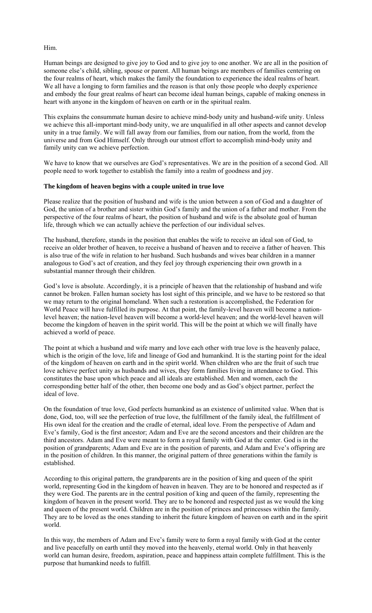Him.

Human beings are designed to give joy to God and to give joy to one another. We are all in the position of someone else's child, sibling, spouse or parent. All human beings are members of families centering on the four realms of heart, which makes the family the foundation to experience the ideal realms of heart. We all have a longing to form families and the reason is that only those people who deeply experience and embody the four great realms of heart can become ideal human beings, capable of making oneness in heart with anyone in the kingdom of heaven on earth or in the spiritual realm.

This explains the consummate human desire to achieve mind-body unity and husband-wife unity. Unless we achieve this all-important mind-body unity, we are unqualified in all other aspects and cannot develop unity in a true family. We will fall away from our families, from our nation, from the world, from the universe and from God Himself. Only through our utmost effort to accomplish mind-body unity and family unity can we achieve perfection.

We have to know that we ourselves are God's representatives. We are in the position of a second God. All people need to work together to establish the family into a realm of goodness and joy.

## **The kingdom of heaven begins with a couple united in true love**

Please realize that the position of husband and wife is the union between a son of God and a daughter of God, the union of a brother and sister within God's family and the union of a father and mother. From the perspective of the four realms of heart, the position of husband and wife is the absolute goal of human life, through which we can actually achieve the perfection of our individual selves.

The husband, therefore, stands in the position that enables the wife to receive an ideal son of God, to receive an older brother of heaven, to receive a husband of heaven and to receive a father of heaven. This is also true of the wife in relation to her husband. Such husbands and wives bear children in a manner analogous to God's act of creation, and they feel joy through experiencing their own growth in a substantial manner through their children.

God's love is absolute. Accordingly, it is a principle of heaven that the relationship of husband and wife cannot be broken. Fallen human society has lost sight of this principle, and we have to be restored so that we may return to the original homeland. When such a restoration is accomplished, the Federation for World Peace will have fulfilled its purpose. At that point, the family-level heaven will become a nationlevel heaven; the nation-level heaven will become a world-level heaven; and the world-level heaven will become the kingdom of heaven in the spirit world. This will be the point at which we will finally have achieved a world of peace.

The point at which a husband and wife marry and love each other with true love is the heavenly palace, which is the origin of the love, life and lineage of God and humankind. It is the starting point for the ideal of the kingdom of heaven on earth and in the spirit world. When children who are the fruit of such true love achieve perfect unity as husbands and wives, they form families living in attendance to God. This constitutes the base upon which peace and all ideals are established. Men and women, each the corresponding better half of the other, then become one body and as God's object partner, perfect the ideal of love.

On the foundation of true love, God perfects humankind as an existence of unlimited value. When that is done, God, too, will see the perfection of true love, the fulfillment of the family ideal, the fulfillment of His own ideal for the creation and the cradle of eternal, ideal love. From the perspective of Adam and Eve's family, God is the first ancestor; Adam and Eve are the second ancestors and their children are the third ancestors. Adam and Eve were meant to form a royal family with God at the center. God is in the position of grandparents; Adam and Eve are in the position of parents, and Adam and Eve's offspring are in the position of children. In this manner, the original pattern of three generations within the family is established.

According to this original pattern, the grandparents are in the position of king and queen of the spirit world, representing God in the kingdom of heaven in heaven. They are to be honored and respected as if they were God. The parents are in the central position of king and queen of the family, representing the kingdom of heaven in the present world. They are to be honored and respected just as we would the king and queen of the present world. Children are in the position of princes and princesses within the family. They are to be loved as the ones standing to inherit the future kingdom of heaven on earth and in the spirit world.

In this way, the members of Adam and Eve's family were to form a royal family with God at the center and live peacefully on earth until they moved into the heavenly, eternal world. Only in that heavenly world can human desire, freedom, aspiration, peace and happiness attain complete fulfillment. This is the purpose that humankind needs to fulfill.